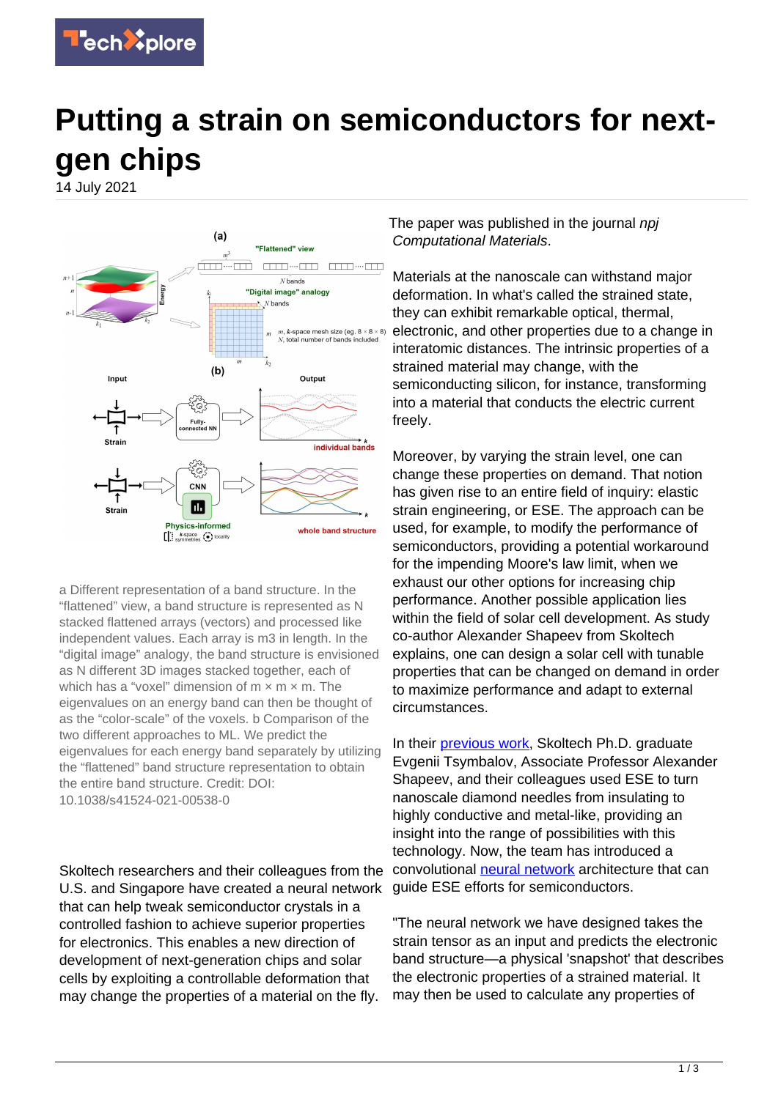

## **Putting a strain on semiconductors for nextgen chips**

14 July 2021



a Different representation of a band structure. In the "flattened" view, a band structure is represented as N stacked flattened arrays (vectors) and processed like independent values. Each array is m3 in length. In the "digital image" analogy, the band structure is envisioned as N different 3D images stacked together, each of which has a "voxel" dimension of  $m \times m \times m$ . The eigenvalues on an energy band can then be thought of as the "color-scale" of the voxels. b Comparison of the two different approaches to ML. We predict the eigenvalues for each energy band separately by utilizing the "flattened" band structure representation to obtain the entire band structure. Credit: DOI: 10.1038/s41524-021-00538-0

Skoltech researchers and their colleagues from the U.S. and Singapore have created a neural network that can help tweak semiconductor crystals in a controlled fashion to achieve superior properties for electronics. This enables a new direction of development of next-generation chips and solar cells by exploiting a controllable deformation that may change the properties of a material on the fly.

The paper was published in the journal npi Computational Materials.

Materials at the nanoscale can withstand major deformation. In what's called the strained state, they can exhibit remarkable optical, thermal, electronic, and other properties due to a change in interatomic distances. The intrinsic properties of a strained material may change, with the semiconducting silicon, for instance, transforming into a material that conducts the electric current freely.

Moreover, by varying the strain level, one can change these properties on demand. That notion has given rise to an entire field of inquiry: elastic strain engineering, or ESE. The approach can be used, for example, to modify the performance of semiconductors, providing a potential workaround for the impending Moore's law limit, when we exhaust our other options for increasing chip performance. Another possible application lies within the field of solar cell development. As study co-author Alexander Shapeev from Skoltech explains, one can design a solar cell with tunable properties that can be changed on demand in order to maximize performance and adapt to external circumstances.

In their [previous work](https://www.pnas.org/content/117/40/24634), Skoltech Ph.D. graduate Evgenii Tsymbalov, Associate Professor Alexander Shapeev, and their colleagues used ESE to turn nanoscale diamond needles from insulating to highly conductive and metal-like, providing an insight into the range of possibilities with this technology. Now, the team has introduced a convolutional [neural network](https://techxplore.com/tags/neural+network/) architecture that can guide ESE efforts for semiconductors.

"The neural network we have designed takes the strain tensor as an input and predicts the electronic band structure—a physical 'snapshot' that describes the electronic properties of a strained material. It may then be used to calculate any properties of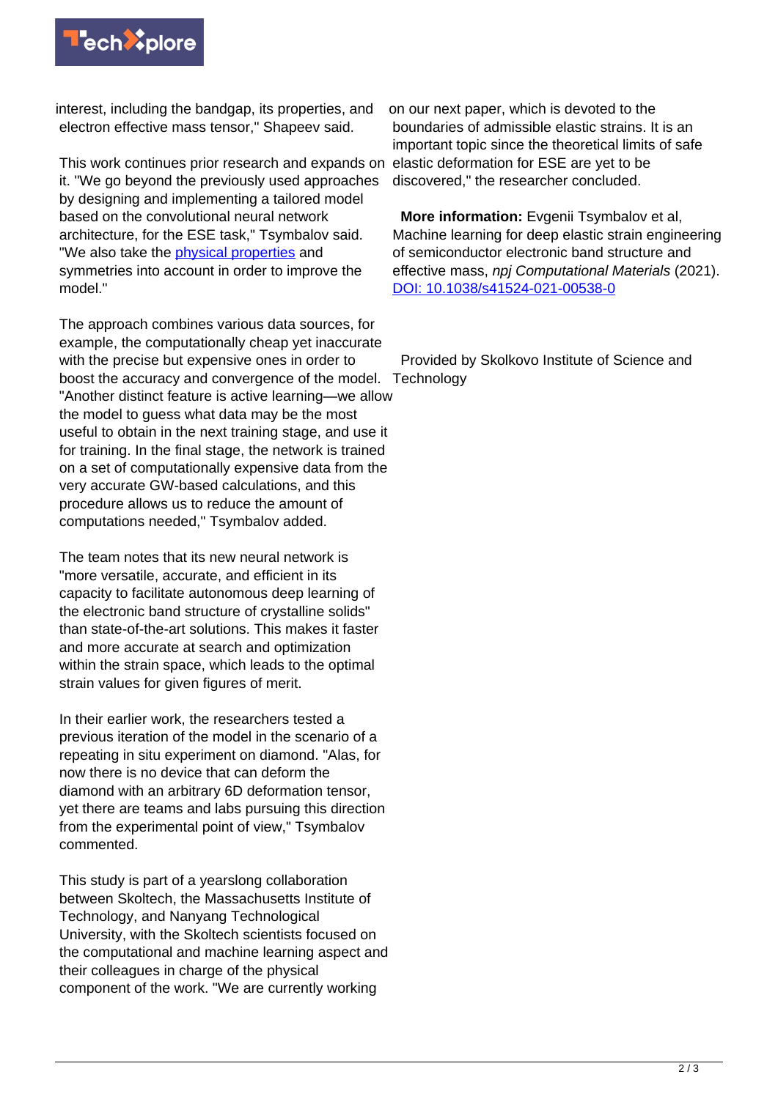

interest, including the bandgap, its properties, and electron effective mass tensor," Shapeev said.

This work continues prior research and expands on it. "We go beyond the previously used approaches by designing and implementing a tailored model based on the convolutional neural network architecture, for the ESE task," Tsymbalov said. "We also take the [physical properties](https://techxplore.com/tags/physical+properties/) and symmetries into account in order to improve the model."

The approach combines various data sources, for example, the computationally cheap yet inaccurate with the precise but expensive ones in order to boost the accuracy and convergence of the model. Technology "Another distinct feature is active learning—we allow the model to guess what data may be the most useful to obtain in the next training stage, and use it for training. In the final stage, the network is trained on a set of computationally expensive data from the very accurate GW-based calculations, and this procedure allows us to reduce the amount of computations needed," Tsymbalov added.

The team notes that its new neural network is "more versatile, accurate, and efficient in its capacity to facilitate autonomous deep learning of the electronic band structure of crystalline solids" than state-of-the-art solutions. This makes it faster and more accurate at search and optimization within the strain space, which leads to the optimal strain values for given figures of merit.

In their earlier work, the researchers tested a previous iteration of the model in the scenario of a repeating in situ experiment on diamond. "Alas, for now there is no device that can deform the diamond with an arbitrary 6D deformation tensor, yet there are teams and labs pursuing this direction from the experimental point of view," Tsymbalov commented.

This study is part of a yearslong collaboration between Skoltech, the Massachusetts Institute of Technology, and Nanyang Technological University, with the Skoltech scientists focused on the computational and machine learning aspect and their colleagues in charge of the physical component of the work. "We are currently working

on our next paper, which is devoted to the boundaries of admissible elastic strains. It is an important topic since the theoretical limits of safe elastic deformation for ESE are yet to be discovered," the researcher concluded.

 **More information:** Evgenii Tsymbalov et al, Machine learning for deep elastic strain engineering of semiconductor electronic band structure and effective mass, npj Computational Materials (2021). [DOI: 10.1038/s41524-021-00538-0](http://dx.doi.org/10.1038/s41524-021-00538-0)

Provided by Skolkovo Institute of Science and